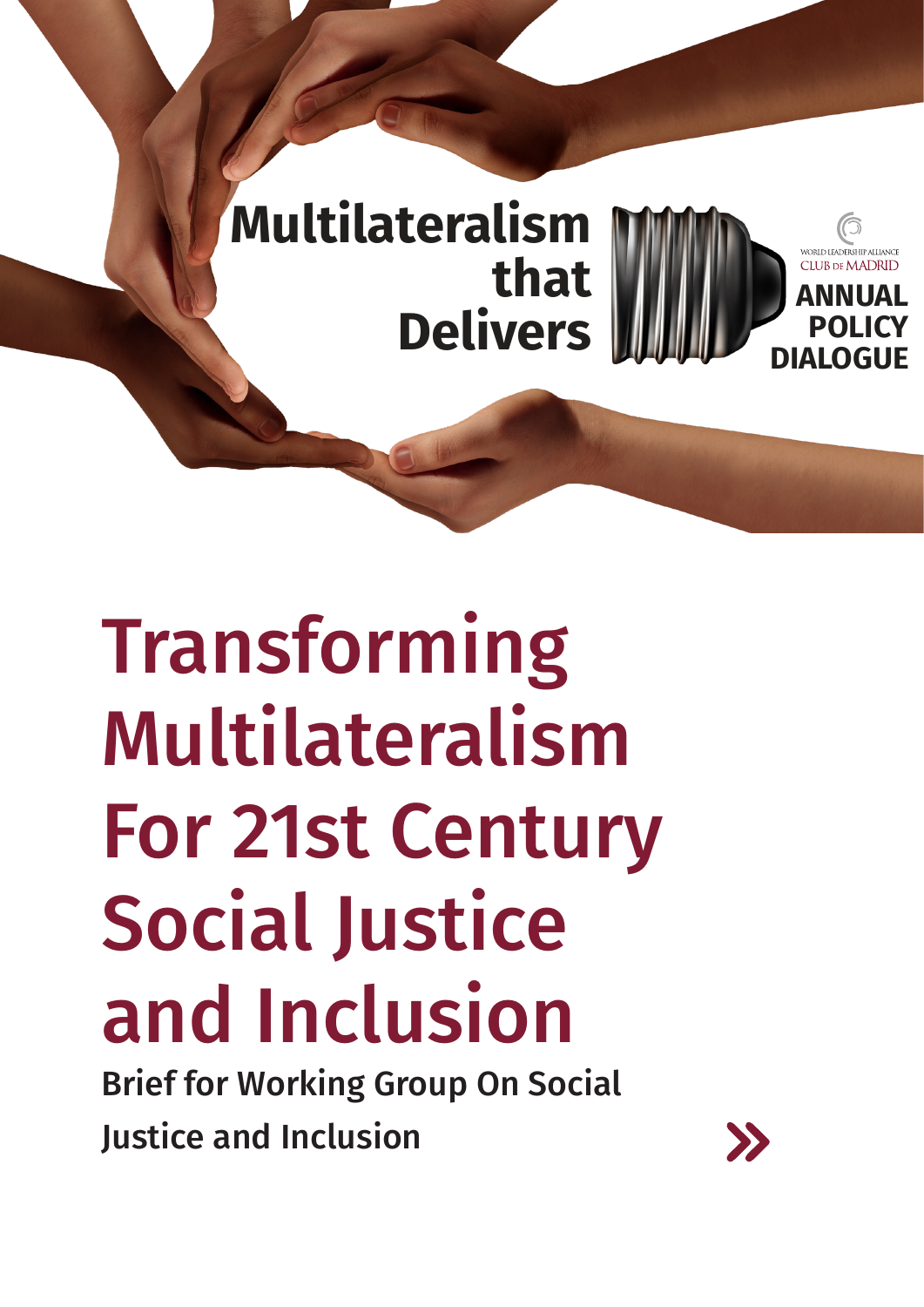

# Transforming Multilateralism For 21st Century Social Justice and Inclusion

Brief for Working Group On Social Justice and Inclusion

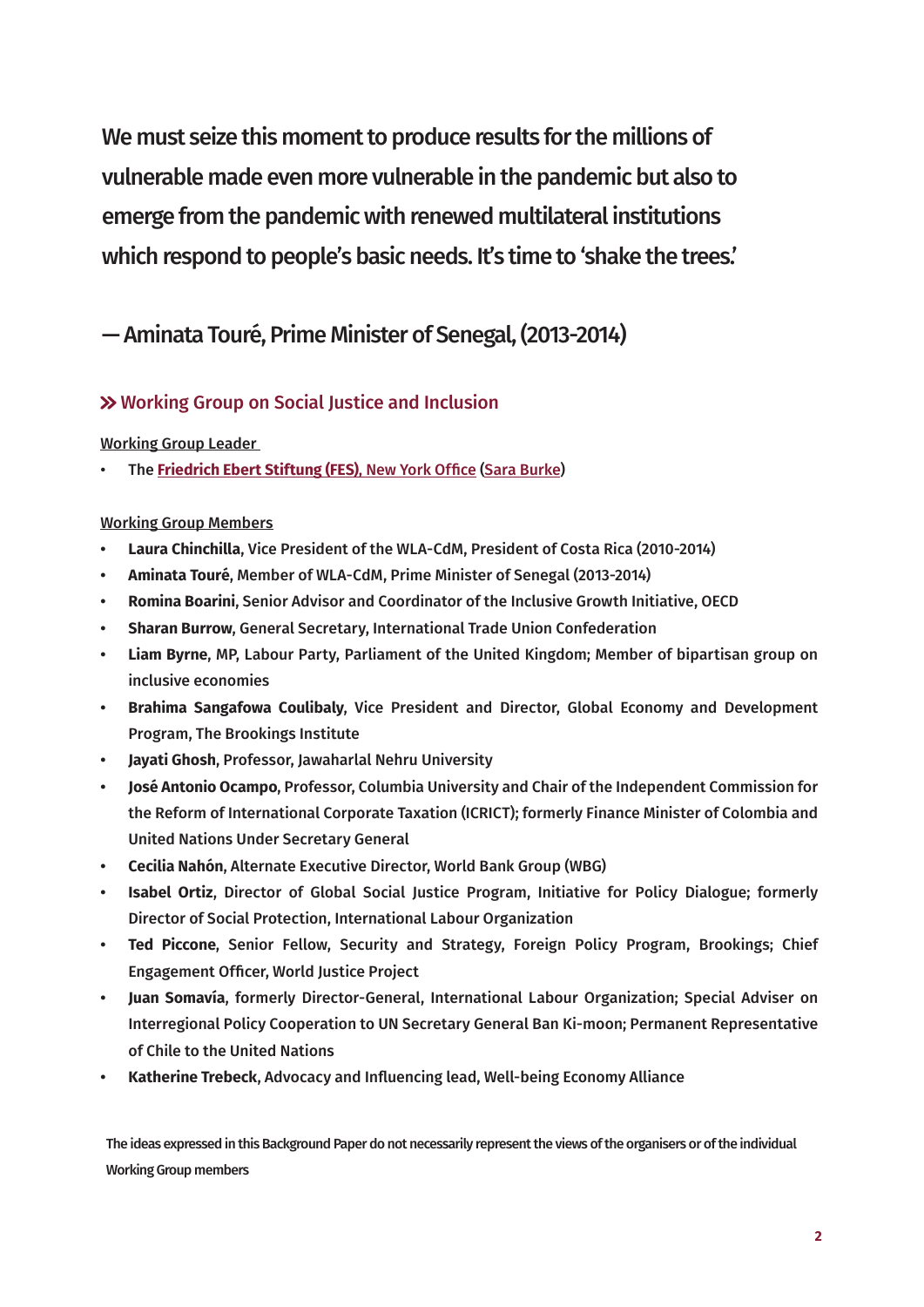We must seize this moment to produce results for the millions of vulnerable made even more vulnerable in the pandemic but also to emerge from the pandemic with renewed multilateral institutions which respond to people's basic needs. It's time to 'shake the trees.'

# — Aminata Touré, Prime Minister of Senegal, (2013-2014)

# Working Group on Social Justice and Inclusion

### Working Group Leader

• The **[Friedrich Ebert Stiftung \(FES\)](https://www.fesny.org/)**, New York Office [\(Sara Burke](https://www.fesny.org/about/team-contact/))

# Working Group Members

- **• Laura Chinchilla**, Vice President of the WLA-CdM, President of Costa Rica (2010-2014)
- **• Aminata Touré**, Member of WLA-CdM, Prime Minister of Senegal (2013-2014)
- **• Romina Boarini**, Senior Advisor and Coordinator of the Inclusive Growth Initiative, OECD
- **• Sharan Burrow**, General Secretary, International Trade Union Confederation
- **• Liam Byrne**, MP, Labour Party, Parliament of the United Kingdom; Member of bipartisan group on inclusive economies
- **• Brahima Sangafowa Coulibaly**, Vice President and Director, Global Economy and Development Program, The Brookings Institute
- **• Jayati Ghosh**, Professor, Jawaharlal Nehru University
- **• José Antonio Ocampo**, Professor, Columbia University and Chair of the Independent Commission for the Reform of International Corporate Taxation (ICRICT); formerly Finance Minister of Colombia and United Nations Under Secretary General
- **• Cecilia Nahón**, Alternate Executive Director, World Bank Group (WBG)
- **• Isabel Ortiz**, Director of Global Social Justice Program, Initiative for Policy Dialogue; formerly Director of Social Protection, International Labour Organization
- **• Ted Piccone**, Senior Fellow, Security and Strategy, Foreign Policy Program, Brookings; Chief Engagement Officer, World Justice Project
- **• Juan Somavía**, formerly Director-General, International Labour Organization; Special Adviser on Interregional Policy Cooperation to UN Secretary General Ban Ki-moon; Permanent Representative of Chile to the United Nations
- **• Katherine Trebeck**, Advocacy and Influencing lead, Well-being Economy Alliance

The ideas expressed in this Background Paper do not necessarily represent the views of the organisers or of the individual Working Group members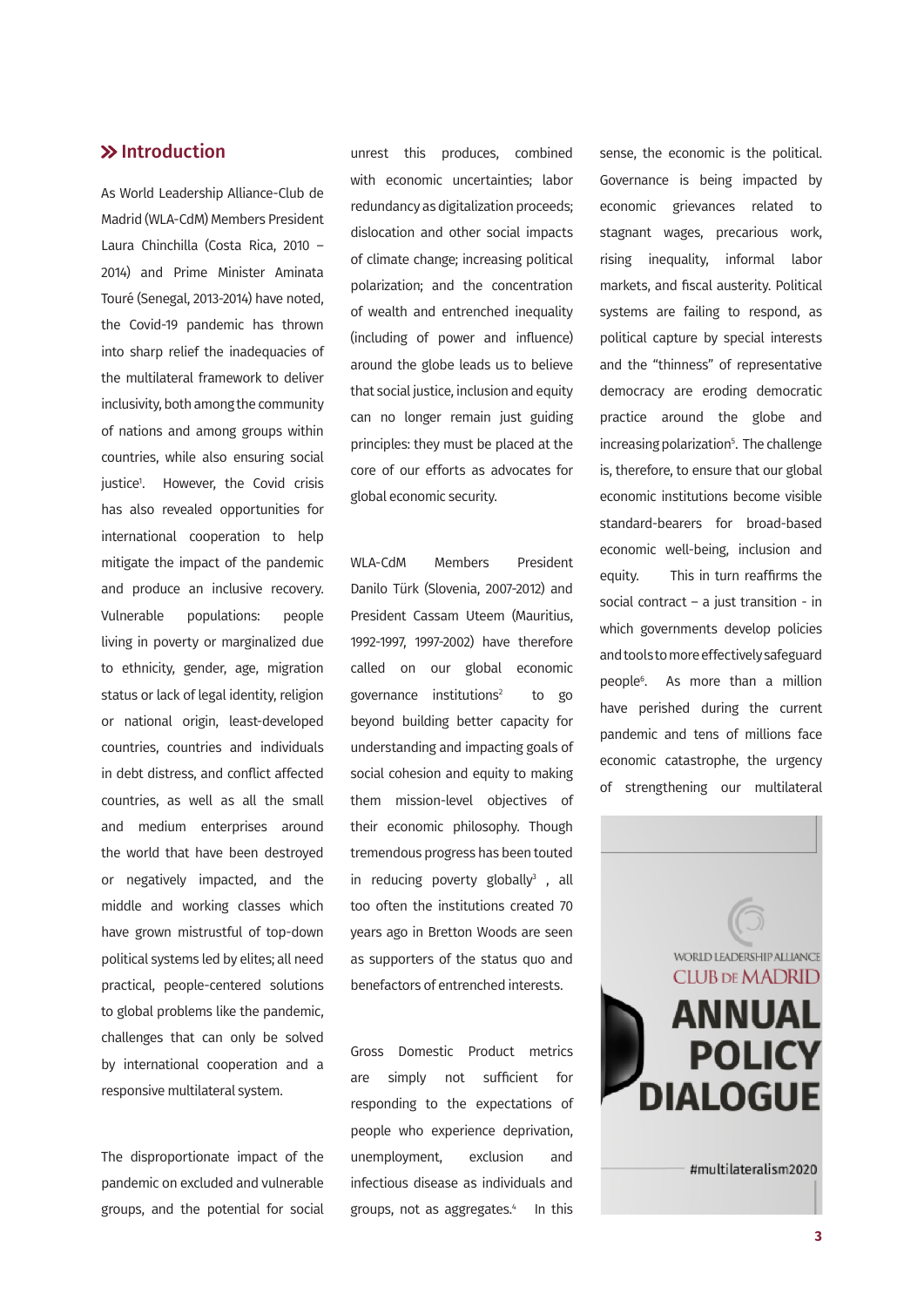## <span id="page-2-0"></span> $\gg$  Introduction

As World Leadership Alliance-Club de Madrid (WLA-CdM) Members President Laura Chinchilla (Costa Rica, 2010 – 2014) and Prime Minister Aminata Touré (Senegal, 2013-2014) have noted, the Covid-19 pandemic has thrown into sharp relief the inadequacies of the multilateral framework to deliver inclusivity, both among the community of nations and among groups within countries, while also ensuring social justic[e1](#page-10-0) . However, the Covid crisis has also revealed opportunities for international cooperation to help mitigate the impact of the pandemic and produce an inclusive recovery. Vulnerable populations: people living in poverty or marginalized due to ethnicity, gender, age, migration status or lack of legal identity, religion or national origin, least-developed countries, countries and individuals in debt distress, and conflict affected countries, as well as all the small and medium enterprises around the world that have been destroyed or negatively impacted, and the middle and working classes which have grown mistrustful of top-down political systems led by elites; all need practical, people-centered solutions to global problems like the pandemic, challenges that can only be solved by international cooperation and a responsive multilateral system.

The disproportionate impact of the pandemic on excluded and vulnerable groups, and the potential for social

unrest this produces, combined with economic uncertainties; labor redundancy as digitalization proceeds; dislocation and other social impacts of climate change; increasing political polarization; and the concentration of wealth and entrenched inequality (including of power and influence) around the globe leads us to believe that social justice, inclusion and equity can no longer remain just guiding principles: they must be placed at the core of our efforts as advocates for global economic security.

WLA-CdM Members President Danilo Türk (Slovenia, 2007-2012) and President Cassam Uteem (Mauritius, 1992-1997, 1997-2002) have therefore called on our global economic governance institutions<sup>2</sup> to go beyond building better capacity for understanding and impacting goals of social cohesion and equity to making them mission-level objectives of their economic philosophy. Though tremendous progress has been touted in reducing poverty globally $^3$  , all too often the institutions created 70 years ago in Bretton Woods are seen as supporters of the status quo and benefactors of entrenched interests.

Gross Domestic Product metrics are simply not sufficient for responding to the expectations of people who experience deprivation, unemployment, exclusion and infectious disease as individuals and groups, not as aggregates.<sup>4</sup> In this

sense, the economic is the political. Governance is being impacted by economic grievances related to stagnant wages, precarious work, rising inequality, informal labor markets, and fiscal austerity. Political systems are failing to respond, as political capture by special interests and the "thinness" of representative democracy are eroding democratic practice around the globe and increasing polarization<sup>5</sup>. The challenge is, therefore, to ensure that our global economic institutions become visible standard-bearers for broad-based economic well-being, inclusion and equity. This in turn reaffirms the social contract – a just transition - in which governments develop policies and tools to more effectively safeguard people[6](#page-10-0) . As more than a million have perished during the current pandemic and tens of millions face economic catastrophe, the urgency of strengthening our multilateral

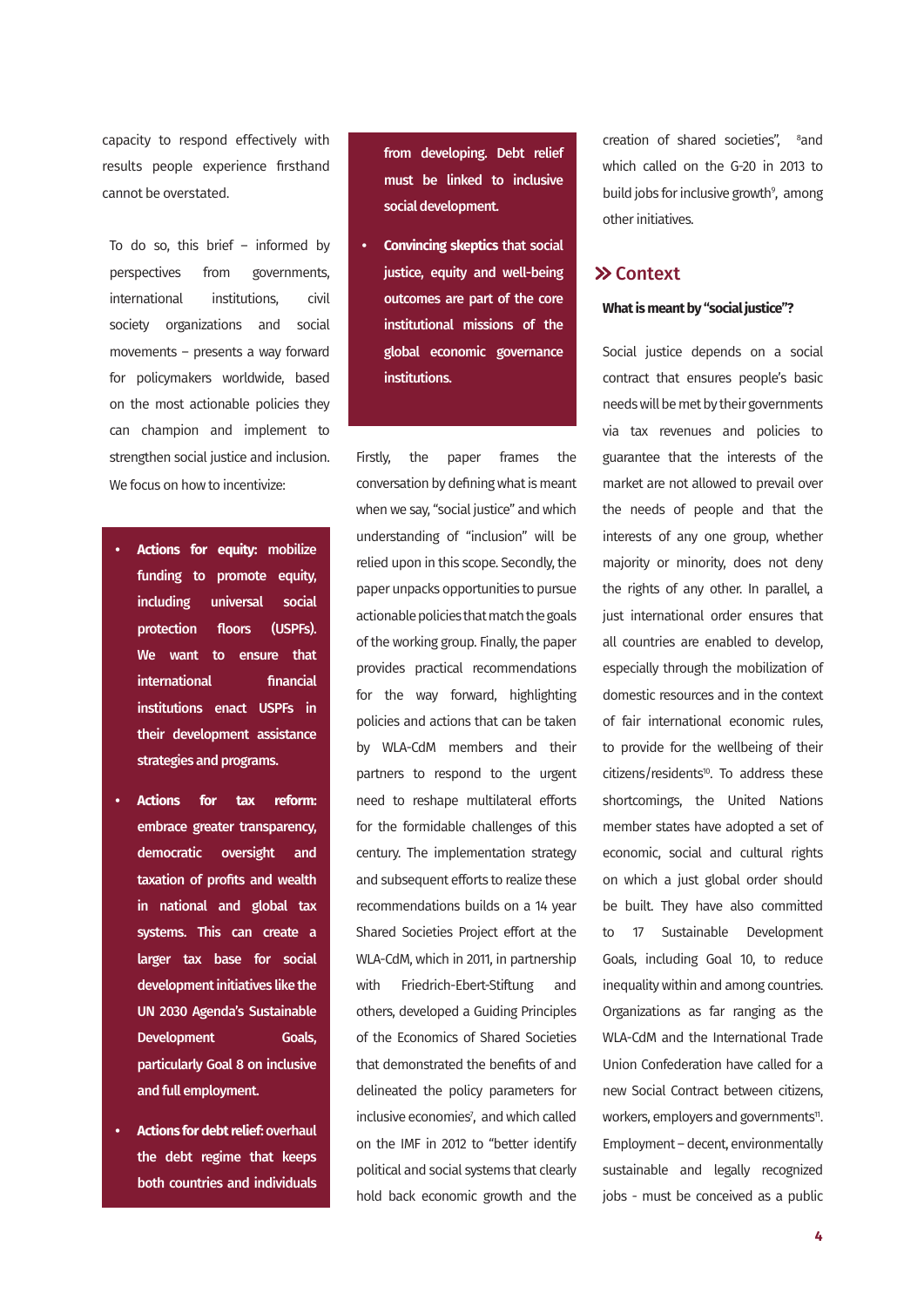<span id="page-3-0"></span>capacity to respond effectively with results people experience firsthand cannot be overstated.

To do so, this brief – informed by perspectives from governments, international institutions, civil society organizations and social movements – presents a way forward for policymakers worldwide, based on the most actionable policies they can champion and implement to strengthen social justice and inclusion. We focus on how to incentivize:

- **• Actions for equity:** mobilize funding to promote equity, including universal social protection floors (USPFs). We want to ensure that international financial institutions enact USPFs in their development assistance strategies and programs.
- **• Actions for tax reform:**  embrace greater transparency, democratic oversight and taxation of profits and wealth in national and global tax systems. This can create a larger tax base for social development initiatives like the UN 2030 Agenda's Sustainable Development Goals, particularly Goal 8 on inclusive and full employment.
- **• Actions for debt relief:** overhaul the debt regime that keeps both countries and individuals

from developing. Debt relief must be linked to inclusive social development.

**• Convincing skeptics** that social justice, equity and well-being outcomes are part of the core institutional missions of the global economic governance institutions.

Firstly, the paper frames the conversation by defining what is meant when we say, "social justice" and which understanding of "inclusion" will be relied upon in this scope. Secondly, the paper unpacks opportunities to pursue actionable policies that match the goals of the working group. Finally, the paper provides practical recommendations for the way forward, highlighting policies and actions that can be taken by WLA-CdM members and their partners to respond to the urgent need to reshape multilateral efforts for the formidable challenges of this century. The implementation strategy and subsequent efforts to realize these recommendations builds on a 14 year Shared Societies Project effort at the WLA-CdM, which in 2011, in partnership with Friedrich-Ebert-Stiftung and others, developed a Guiding Principles of the Economics of Shared Societies that demonstrated the benefits of and delineated the policy parameters for inclusive economies<sup>7</sup>, and which called on the IMF in 2012 to "better identify political and social systems that clearly hold back economic growth and the

creation of shared societies", <sup>8</sup>and which called on the G-20 in 2013 to build jobs for inclusive growth<sup>9</sup>, among other initiatives.

#### **>> Context**

#### **What is meant by "social justice"?**

Social justice depends on a social contract that ensures people's basic needs will be met by their governments via tax revenues and policies to guarantee that the interests of the market are not allowed to prevail over the needs of people and that the interests of any one group, whether majority or minority, does not deny the rights of any other. In parallel, a just international order ensures that all countries are enabled to develop, especially through the mobilization of domestic resources and in the context of fair international economic rules, to provide for the wellbeing of their citizens/residents<sup>10</sup>. To address these shortcomings, the United Nations member states have adopted a set of economic, social and cultural rights on which a just global order should be built. They have also committed to 17 Sustainable Development Goals, including Goal 10, to reduce inequality within and among countries. Organizations as far ranging as the WLA-CdM and the International Trade Union Confederation have called for a new Social Contract between citizens, workers, employers and governments<sup>11</sup>. Employment – decent, environmentally sustainable and legally recognized jobs - must be conceived as a public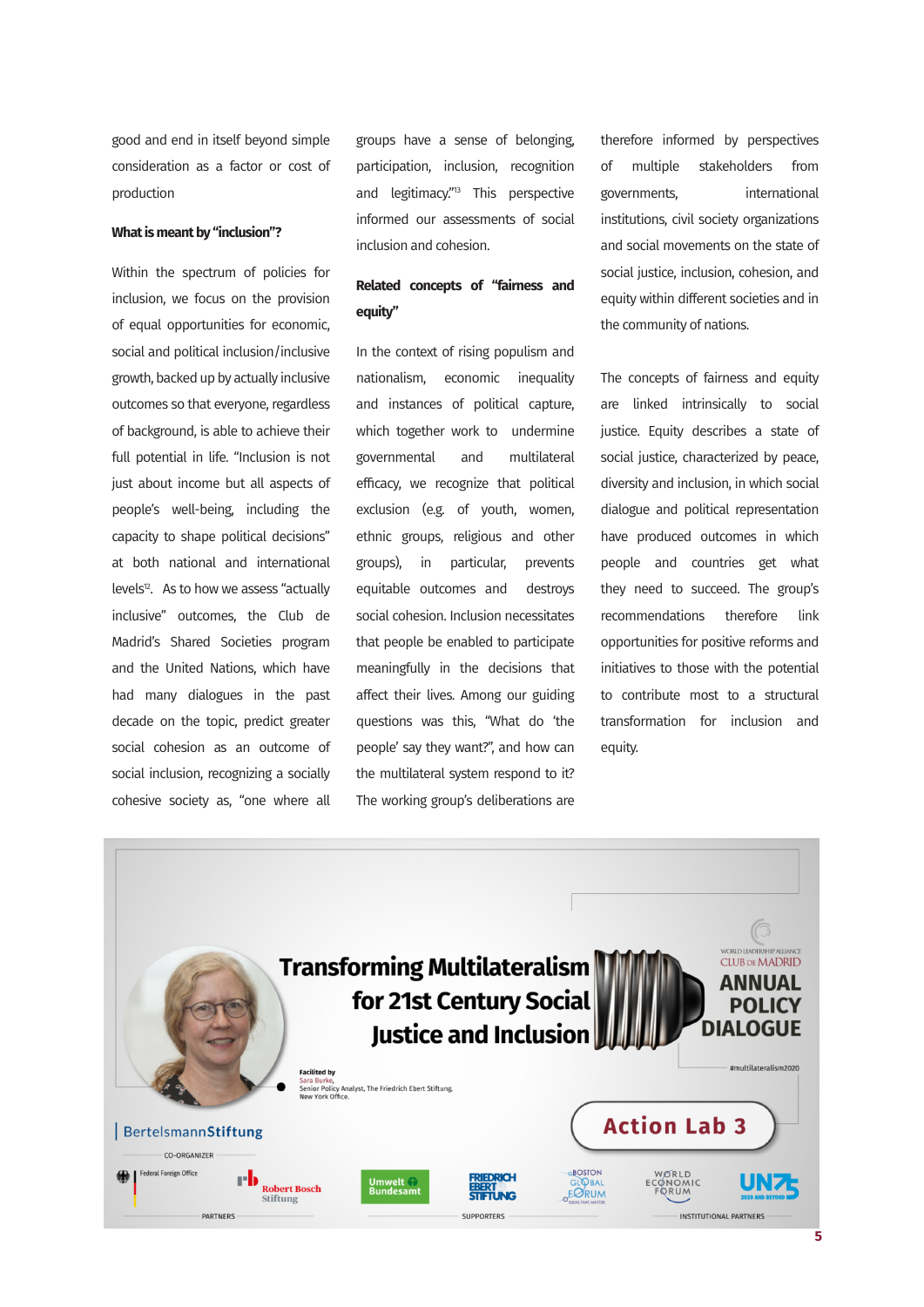<span id="page-4-0"></span>good and end in itself beyond simple consideration as a factor or cost of production

#### **What is meant by "inclusion"?**

Within the spectrum of policies for inclusion, we focus on the provision of equal opportunities for economic, social and political inclusion/inclusive growth, backed up by actually inclusive outcomes so that everyone, regardless of background, is able to achieve their full potential in life. "Inclusion is not just about income but all aspects of people's well-being, including the capacity to shape political decisions" at both national and international levels<sup>12</sup>. As to how we assess "actually inclusive" outcomes, the Club de Madrid's Shared Societies program and the United Nations, which have had many dialogues in the past decade on the topic, predict greater social cohesion as an outcome of social inclusion, recognizing a socially cohesive society as, "one where all

groups have a sense of belonging, participation, inclusion, recognition and legitimacy."<sup>13</sup> This perspective informed our assessments of social inclusion and cohesion.

### **Related concepts of "fairness and equity"**

In the context of rising populism and nationalism, economic inequality and instances of political capture, which together work to undermine governmental and multilateral efficacy, we recognize that political exclusion (e.g. of youth, women, ethnic groups, religious and other groups), in particular, prevents equitable outcomes and destroys social cohesion. Inclusion necessitates that people be enabled to participate meaningfully in the decisions that affect their lives. Among our guiding questions was this, "What do 'the people' say they want?", and how can the multilateral system respond to it? The working group's deliberations are

therefore informed by perspectives of multiple stakeholders from governments, international institutions, civil society organizations and social movements on the state of social justice, inclusion, cohesion, and equity within different societies and in the community of nations.

The concepts of fairness and equity are linked intrinsically to social justice. Equity describes a state of social justice, characterized by peace, diversity and inclusion, in which social dialogue and political representation have produced outcomes in which people and countries get what they need to succeed. The group's recommendations therefore link opportunities for positive reforms and initiatives to those with the potential to contribute most to a structural transformation for inclusion and equity.

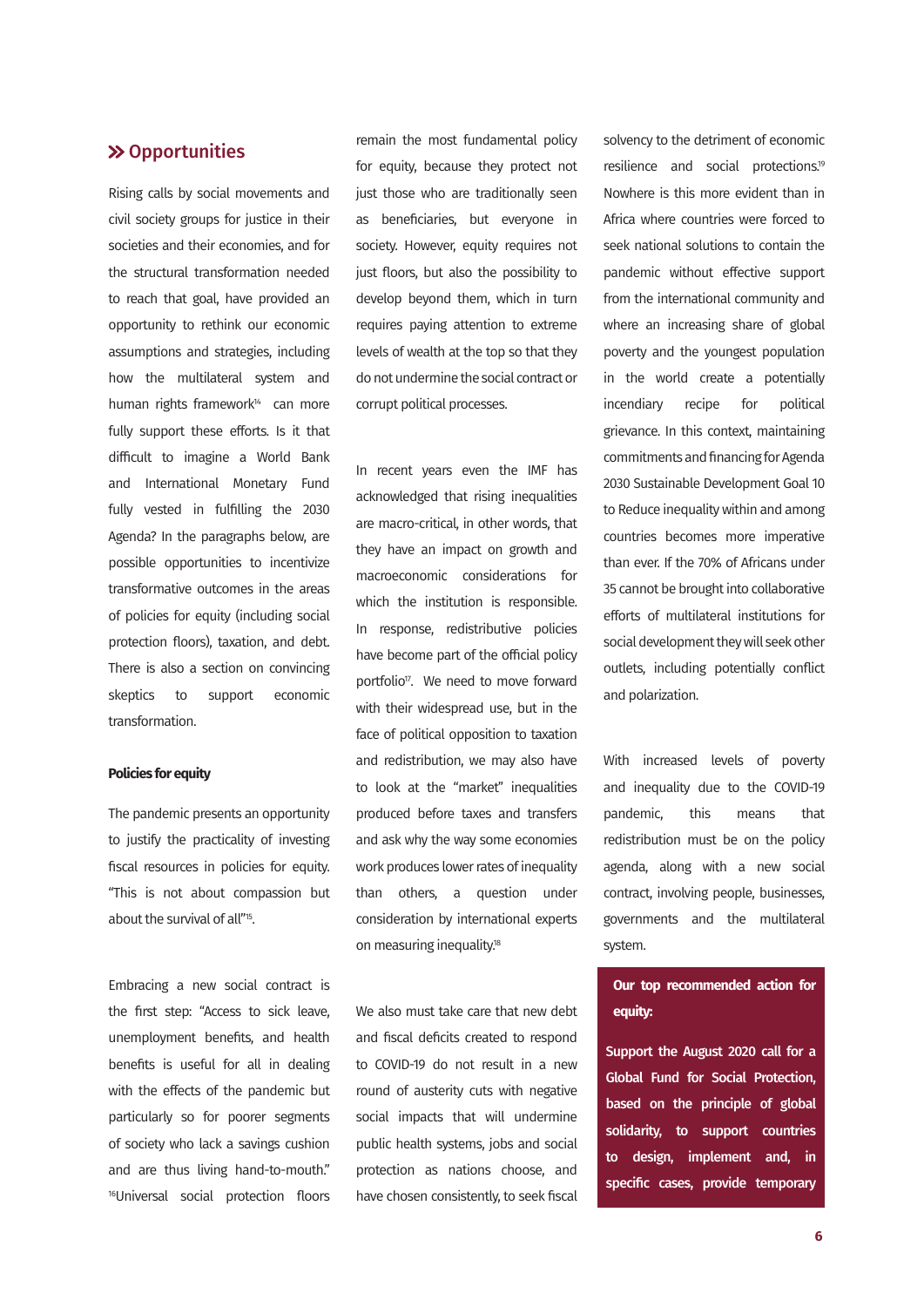#### <span id="page-5-0"></span> $\gg$  **Opportunities**

Rising calls by social movements and civil society groups for justice in their societies and their economies, and for the structural transformation needed to reach that goal, have provided an opportunity to rethink our economic assumptions and strategies, including how the multilateral system and human rights framework<sup>14</sup> can more fully support these efforts. Is it that difficult to imagine a World Bank and International Monetary Fund fully vested in fulfilling the 2030 Agenda? In the paragraphs below, are possible opportunities to incentivize transformative outcomes in the areas of policies for equity (including social protection floors), taxation, and debt. There is also a section on convincing skeptics to support economic transformation.

#### **Policies for equity**

The pandemic presents an opportunity to justify the practicality of investing fiscal resources in policies for equity. "This is not about compassion but about the survival of all["15](#page-10-0).

Embracing a new social contract is the first step: "Access to sick leave, unemployment benefits, and health benefits is useful for all in dealing with the effects of the pandemic but particularly so for poorer segments of society who lack a savings cushion and are thus living hand-to-mouth." [16](#page-10-0)Universal social protection floors

remain the most fundamental policy for equity, because they protect not just those who are traditionally seen as beneficiaries, but everyone in society. However, equity requires not just floors, but also the possibility to develop beyond them, which in turn requires paying attention to extreme levels of wealth at the top so that they do not undermine the social contract or corrupt political processes.

In recent years even the IMF has acknowledged that rising inequalities are macro-critical, in other words, that they have an impact on growth and macroeconomic considerations for which the institution is responsible. In response, redistributive policies have become part of the official policy portfolio<sup>17</sup>. We need to move forward with their widespread use, but in the face of political opposition to taxation and redistribution, we may also have to look at the "market" inequalities produced before taxes and transfers and ask why the way some economies work produces lower rates of inequality than others, a question under consideration by international experts on measuring inequality.<sup>18</sup>

We also must take care that new debt and fiscal deficits created to respond to COVID-19 do not result in a new round of austerity cuts with negative social impacts that will undermine public health systems, jobs and social protection as nations choose, and have chosen consistently, to seek fiscal

solvency to the detriment of economic resilience and social protections[.19](#page-11-0) Nowhere is this more evident than in Africa where countries were forced to seek national solutions to contain the pandemic without effective support from the international community and where an increasing share of global poverty and the youngest population in the world create a potentially incendiary recipe for political grievance. In this context, maintaining commitments and financing for Agenda 2030 Sustainable Development Goal 10 to Reduce inequality within and among countries becomes more imperative than ever. If the 70% of Africans under 35 cannot be brought into collaborative efforts of multilateral institutions for social development they will seek other outlets, including potentially conflict and polarization.

With increased levels of poverty and inequality due to the COVID-19 pandemic, this means that redistribution must be on the policy agenda, along with a new social contract, involving people, businesses, governments and the multilateral system.

# **Our top recommended action for equity:**

Support the August 2020 call for a Global Fund for Social Protection, based on the principle of global solidarity, to support countries to design, implement and, in specific cases, provide temporary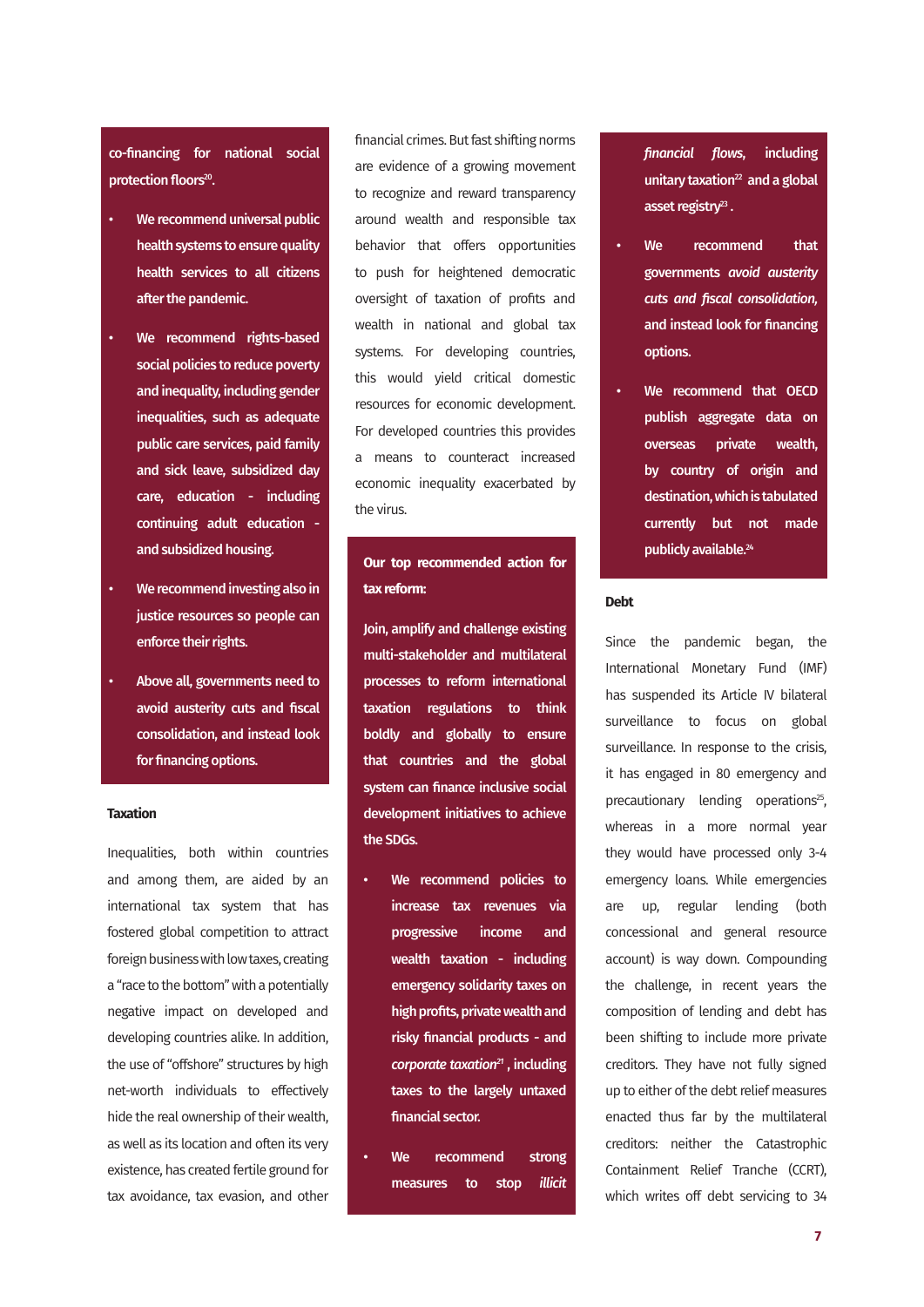<span id="page-6-0"></span>co-financing for national social protection floors<sup>20</sup>.

- We recommend universal public health systems to ensure quality health services to all citizens after the pandemic.
- We recommend rights-based social policies to reduce poverty and inequality, including gender inequalities, such as adequate public care services, paid family and sick leave, subsidized day care, education - including continuing adult education and subsidized housing.
- We recommend investing also in justice resources so people can enforce their rights.
- Above all, governments need to avoid austerity cuts and fiscal consolidation, and instead look for financing options.

#### **Taxation**

Inequalities, both within countries and among them, are aided by an international tax system that has fostered global competition to attract foreign business with low taxes, creating a "race to the bottom" with a potentially negative impact on developed and developing countries alike. In addition, the use of "offshore" structures by high net-worth individuals to effectively hide the real ownership of their wealth, as well as its location and often its very existence, has created fertile ground for tax avoidance, tax evasion, and other financial crimes. But fast shifting norms are evidence of a growing movement to recognize and reward transparency around wealth and responsible tax behavior that offers opportunities to push for heightened democratic oversight of taxation of profits and wealth in national and global tax systems. For developing countries, this would yield critical domestic resources for economic development. For developed countries this provides a means to counteract increased economic inequality exacerbated by the virus.

# **Our top recommended action for tax reform:**

Join, amplify and challenge existing multi-stakeholder and multilateral processes to reform international taxation regulations to think boldly and globally to ensure that countries and the global system can finance inclusive social development initiatives to achieve the SDGs.

- We recommend policies to increase tax revenues via progressive income and wealth taxation - including emergency solidarity taxes on high profits, private wealth and risky financial products - and *corporate taxatio[n21](#page-11-0)* , including taxes to the largely untaxed financial sector.
- We recommend strong measures to stop *illicit*

*financial flows*, including unitary taxation $^{22}$  and a global asset registry<sup>23</sup>.

- We recommend that governments *avoid austerity cuts and fiscal consolidation,* and instead look for financing options.
- We recommend that OECD publish aggregate data on overseas private wealth, by country of origin and destination, which is tabulated currently but not made publicly available.<sup>24</sup>

#### **Debt**

Since the pandemic began, the International Monetary Fund (IMF) has suspended its Article IV bilateral surveillance to focus on global surveillance. In response to the crisis, it has engaged in 80 emergency and precautionary lending operations<sup>25</sup>, whereas in a more normal year they would have processed only 3-4 emergency loans. While emergencies are up, regular lending (both concessional and general resource account) is way down. Compounding the challenge, in recent years the composition of lending and debt has been shifting to include more private creditors. They have not fully signed up to either of the debt relief measures enacted thus far by the multilateral creditors: neither the Catastrophic Containment Relief Tranche (CCRT), which writes off debt servicing to 34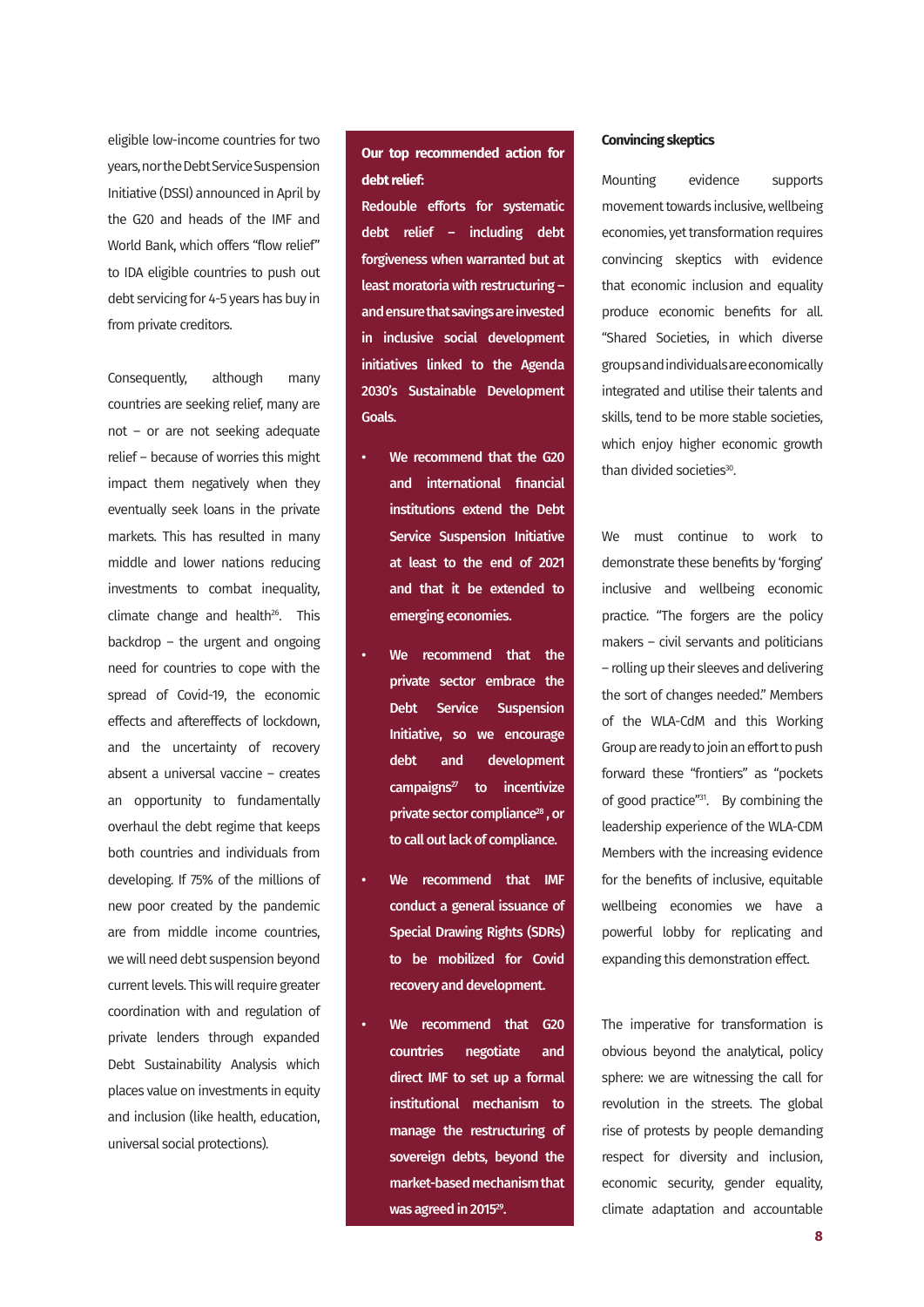<span id="page-7-0"></span>eligible low-income countries for two years, nor the Debt Service Suspension Initiative (DSSI) announced in April by the G20 and heads of the IMF and World Bank, which offers "flow relief" to IDA eligible countries to push out debt servicing for 4-5 years has buy in from private creditors.

Consequently, although many countries are seeking relief, many are not – or are not seeking adequate relief – because of worries this might impact them negatively when they eventually seek loans in the private markets. This has resulted in many middle and lower nations reducing investments to combat inequality, climate change and health<sup>26</sup>. This backdrop – the urgent and ongoing need for countries to cope with the spread of Covid-19, the economic effects and aftereffects of lockdown, and the uncertainty of recovery absent a universal vaccine – creates an opportunity to fundamentally overhaul the debt regime that keeps both countries and individuals from developing. If 75% of the millions of new poor created by the pandemic are from middle income countries, we will need debt suspension beyond current levels. This will require greater coordination with and regulation of private lenders through expanded Debt Sustainability Analysis which places value on investments in equity and inclusion (like health, education, universal social protections).

**Our top recommended action for debt relief:**

Redouble efforts for systematic debt relief – including debt forgiveness when warranted but at least moratoria with restructuring – and ensure that savings are invested in inclusive social development initiatives linked to the Agenda 2030's Sustainable Development Goals.

- We recommend that the G20 and international financial institutions extend the Debt Service Suspension Initiative at least to the end of 2021 and that it be extended to emerging economies.
- We recommend that the private sector embrace the Debt Service Suspension Initiative, so we encourage debt and development  $campaligns<sup>27</sup>$  to incentivize private sector compliance<sup>28</sup>, or to call out lack of compliance.
- We recommend that IMF conduct a general issuance of Special Drawing Rights (SDRs) to be mobilized for Covid recovery and development.
- We recommend that G20 countries negotiate and direct IMF to set up a formal institutional mechanism to manage the restructuring of sovereign debts, beyond the market-based mechanism that was agreed in 2015<sup>29</sup>.

#### **Convincing skeptics**

Mounting evidence supports movement towards inclusive, wellbeing economies, yet transformation requires convincing skeptics with evidence that economic inclusion and equality produce economic benefits for all. "Shared Societies, in which diverse groups and individuals are economically integrated and utilise their talents and skills, tend to be more stable societies, which enjoy higher economic growth than divided societies<sup>30</sup>.

We must continue to work to demonstrate these benefits by 'forging' inclusive and wellbeing economic practice. "The forgers are the policy makers – civil servants and politicians – rolling up their sleeves and delivering the sort of changes needed." Members of the WLA-CdM and this Working Group are ready to join an effort to push forward these "frontiers" as "pockets of good practice["31](#page-11-0). By combining the leadership experience of the WLA-CDM Members with the increasing evidence for the benefits of inclusive, equitable wellbeing economies we have a powerful lobby for replicating and expanding this demonstration effect.

The imperative for transformation is obvious beyond the analytical, policy sphere: we are witnessing the call for revolution in the streets. The global rise of protests by people demanding respect for diversity and inclusion, economic security, gender equality, climate adaptation and accountable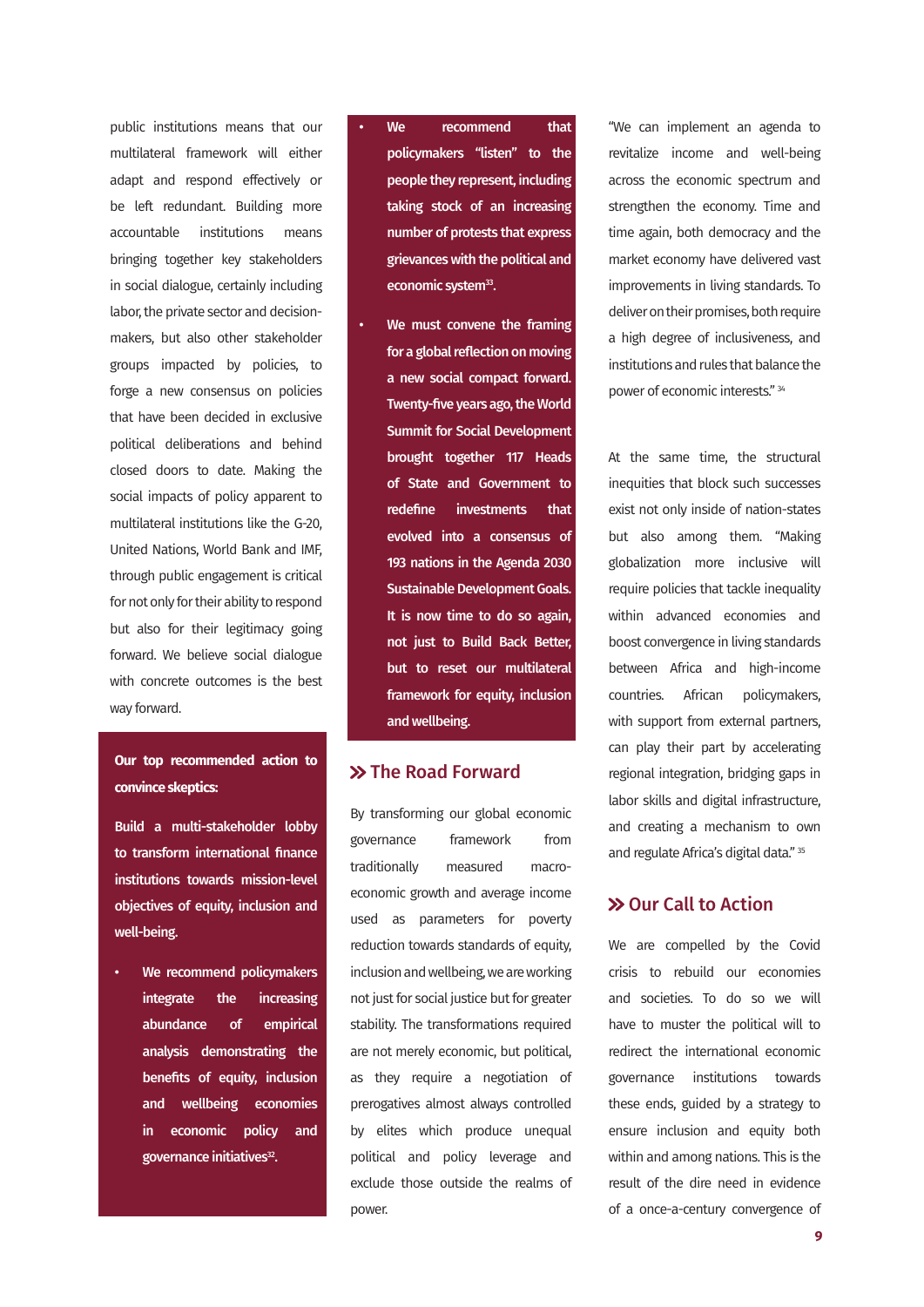<span id="page-8-0"></span>public institutions means that our multilateral framework will either adapt and respond effectively or be left redundant. Building more accountable institutions means bringing together key stakeholders in social dialogue, certainly including labor, the private sector and decisionmakers, but also other stakeholder groups impacted by policies, to forge a new consensus on policies that have been decided in exclusive political deliberations and behind closed doors to date. Making the social impacts of policy apparent to multilateral institutions like the G-20, United Nations, World Bank and IMF, through public engagement is critical for not only for their ability to respond but also for their legitimacy going forward. We believe social dialogue with concrete outcomes is the best way forward.

# **Our top recommended action to convince skeptics:**

Build a multi-stakeholder lobby to transform international finance institutions towards mission-level objectives of equity, inclusion and well-being.

We recommend policymakers integrate the increasing abundance of empirical analysis demonstrating the benefits of equity, inclusion and wellbeing economies in economic policy and governance initiatives<sup>32</sup>.

We recommend that policymakers "listen" to the people they represent, including taking stock of an increasing number of protests that express grievances with the political and economic system<sup>33</sup>.

We must convene the framing for a global reflection on moving a new social compact forward. Twenty-five years ago, the World Summit for Social Development brought together 117 Heads of State and Government to redefine investments that evolved into a consensus of 193 nations in the Agenda 2030 Sustainable Development Goals. It is now time to do so again, not just to Build Back Better, but to reset our multilateral framework for equity, inclusion and wellbeing.

#### **EXAMPLE PROAD FORWARD**

By transforming our global economic governance framework from traditionally measured macroeconomic growth and average income used as parameters for poverty reduction towards standards of equity. inclusion and wellbeing, we are working not just for social justice but for greater stability. The transformations required are not merely economic, but political, as they require a negotiation of prerogatives almost always controlled by elites which produce unequal political and policy leverage and exclude those outside the realms of power.

"We can implement an agenda to revitalize income and well-being across the economic spectrum and strengthen the economy. Time and time again, both democracy and the market economy have delivered vast improvements in living standards. To deliver on their promises, both require a high degree of inclusiveness, and institutions and rules that balance the power of economic interests." [34](#page-12-0)

At the same time, the structural inequities that block such successes exist not only inside of nation-states but also among them. "Making globalization more inclusive will require policies that tackle inequality within advanced economies and boost convergence in living standards between Africa and high-income countries. African policymakers, with support from external partners, can play their part by accelerating regional integration, bridging gaps in labor skills and digital infrastructure, and creating a mechanism to own and regulate Africa's digital data." [35](#page-12-0)

#### > Our Call to Action

We are compelled by the Covid crisis to rebuild our economies and societies. To do so we will have to muster the political will to redirect the international economic governance institutions towards these ends, guided by a strategy to ensure inclusion and equity both within and among nations. This is the result of the dire need in evidence of a once-a-century convergence of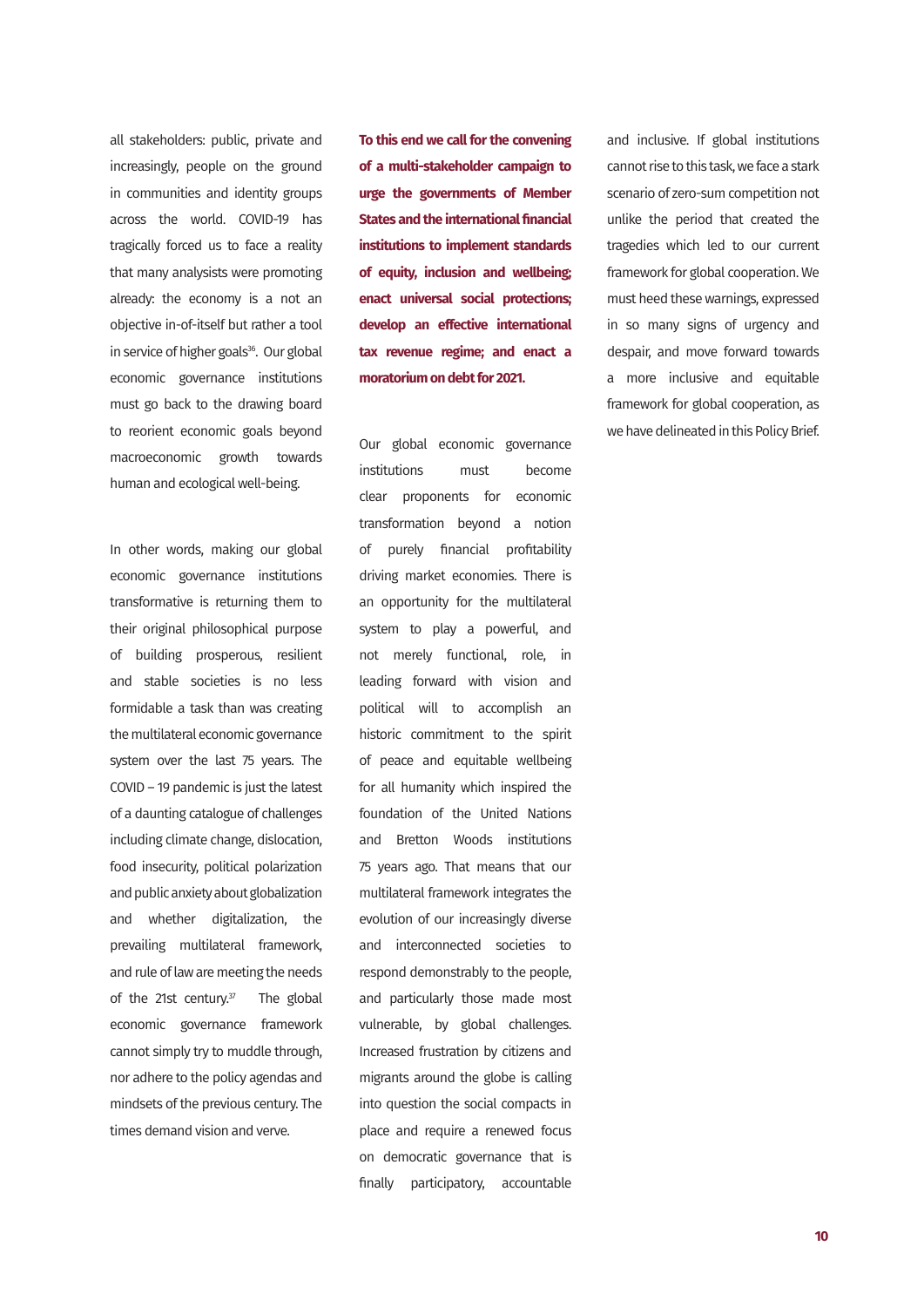<span id="page-9-0"></span>all stakeholders: public, private and increasingly, people on the ground in communities and identity groups across the world. COVID-19 has tragically forced us to face a reality that many analysists were promoting already: the economy is a not an objective in-of-itself but rather a tool in service of higher goals<sup>36</sup>. Our global economic governance institutions must go back to the drawing board to reorient economic goals beyond macroeconomic growth towards human and ecological well-being.

In other words, making our global economic governance institutions transformative is returning them to their original philosophical purpose of building prosperous, resilient and stable societies is no less formidable a task than was creating the multilateral economic governance system over the last 75 years. The COVID – 19 pandemic is just the latest of a daunting catalogue of challenges including climate change, dislocation, food insecurity, political polarization and public anxiety about globalization and whether digitalization, the prevailing multilateral framework, and rule of law are meeting the needs of the 21st century. $37$  The global economic governance framework cannot simply try to muddle through, nor adhere to the policy agendas and mindsets of the previous century. The times demand vision and verve.

**To this end we call for the convening of a multi-stakeholder campaign to urge the governments of Member States and the international financial institutions to implement standards of equity, inclusion and wellbeing; enact universal social protections; develop an effective international tax revenue regime; and enact a moratorium on debt for 2021.**

Our global economic governance institutions must become clear proponents for economic transformation beyond a notion of purely financial profitability driving market economies. There is an opportunity for the multilateral system to play a powerful, and not merely functional, role, in leading forward with vision and political will to accomplish an historic commitment to the spirit of peace and equitable wellbeing for all humanity which inspired the foundation of the United Nations and Bretton Woods institutions 75 years ago. That means that our multilateral framework integrates the evolution of our increasingly diverse and interconnected societies to respond demonstrably to the people, and particularly those made most vulnerable, by global challenges. Increased frustration by citizens and migrants around the globe is calling into question the social compacts in place and require a renewed focus on democratic governance that is finally participatory, accountable

and inclusive. If global institutions cannot rise to this task, we face a stark scenario of zero-sum competition not unlike the period that created the tragedies which led to our current framework for global cooperation. We must heed these warnings, expressed in so many signs of urgency and despair, and move forward towards a more inclusive and equitable framework for global cooperation, as we have delineated in this Policy Brief.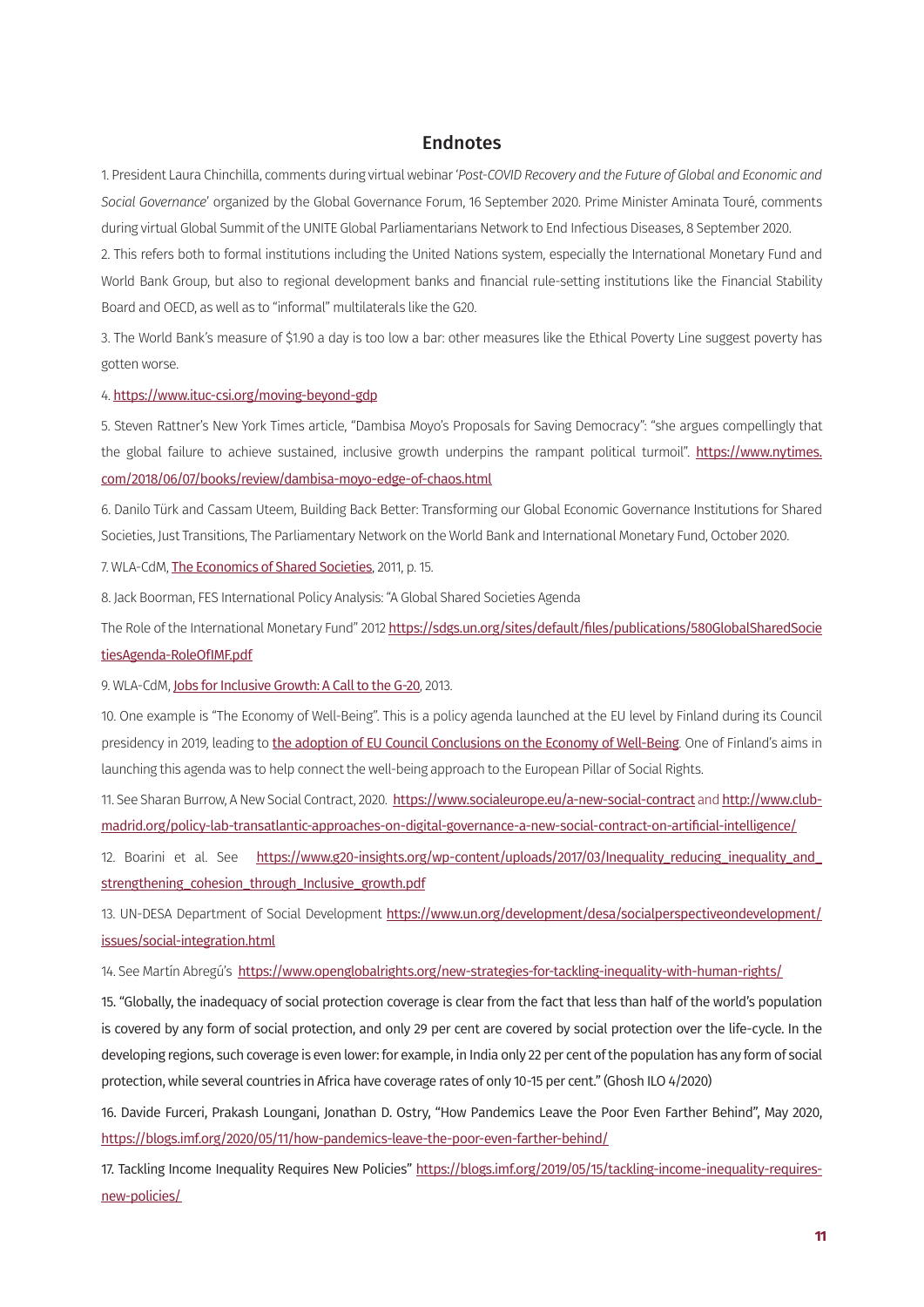#### Endnotes

<span id="page-10-0"></span>[1.](#page-2-0) President Laura Chinchilla, comments during virtual webinar '*Post-COVID Recovery and the Future of Global and Economic and Social Governance*' organized by the Global Governance Forum, 16 September 2020. Prime Minister Aminata Touré, comments during virtual Global Summit of the UNITE Global Parliamentarians Network to End Infectious Diseases, 8 September 2020. [2](#page-2-0). This refers both to formal institutions including the United Nations system, especially the International Monetary Fund and

World Bank Group, but also to regional development banks and financial rule-setting institutions like the Financial Stability Board and OECD, as well as to "informal" multilaterals like the G20.

[3](#page-2-0). The World Bank's measure of \$1.90 a day is too low a bar: other measures like the Ethical Poverty Line suggest poverty has gotten worse.

[4.](#page-2-0) https://www.ituc-csi.org/moving-beyond-gdp

[5](#page-2-0). Steven Rattner's New York Times article, "Dambisa Moyo's Proposals for Saving Democracy": "she argues compellingly that the global failure to achieve sustained, inclusive growth underpins the rampant political turmoil". [https://www.nytimes.](https://www.nytimes.com/2018/06/07/books/review/dambisa-moyo-edge-of-chaos.html) [com/2018/06/07/books/review/dambisa-moyo-edge-of-chaos.html](https://www.nytimes.com/2018/06/07/books/review/dambisa-moyo-edge-of-chaos.html)

[6.](#page-2-0) Danilo Türk and Cassam Uteem, Building Back Better: Transforming our Global Economic Governance Institutions for Shared Societies, Just Transitions, The Parliamentary Network on the World Bank and International Monetary Fund, October 2020.

[7](#page-3-0). WLA-CdM, [The Economics of Shared Societies](http://www.clubmadrid.org/wp-content/uploads/2017/10/6.-Economics-of-SSP.pdf), 2011, p. 15.

[8.](#page-3-0) Jack Boorman, FES International Policy Analysis: "A Global Shared Societies Agenda

The Role of the International Monetary Fund" 2012 [https://sdgs.un.org/sites/default/files/publications/580GlobalSharedSocie](https://sdgs.un.org/sites/default/files/publications/580GlobalSharedSocietiesAgenda-RoleOfIMF.pdf) [tiesAgenda-RoleOfIMF.pdf](https://sdgs.un.org/sites/default/files/publications/580GlobalSharedSocietiesAgenda-RoleOfIMF.pdf)

[9](#page-3-0). WLA-CdM, [Jobs for Inclusive Growth: A Call to the G-20](http://www.clubmadrid.org/wp-content/uploads/2017/10/Jobs-for-inclusive-growth-A-call-to-the-G-20.pdf), 2013.

[10](#page-3-0). One example is "The Economy of Well-Being". This is a policy agenda launched at the EU level by Finland during its Council presidency in 2019, leading to [the adoption of EU Council Conclusions on the Economy of Well-Being](https://www.consilium.europa.eu/en/press/press-releases/2019/10/24/economy-of-wellbeing-the-council-adopts-conclusions/). One of Finland's aims in launching this agenda was to help connect the well-being approach to the European Pillar of Social Rights.

[11.](#page-3-0) See Sharan Burrow, A New Social Contract, 2020. <https://www.socialeurope.eu/a-new-social-contract> and [http://www.club](http://www.clubmadrid.org/policy-lab-transatlantic-approaches-on-digital-governance-a-new-social-contract-on-artificial-intelligence/)[madrid.org/policy-lab-transatlantic-approaches-on-digital-governance-a-new-social-contract-on-artificial-intelligence/](http://www.clubmadrid.org/policy-lab-transatlantic-approaches-on-digital-governance-a-new-social-contract-on-artificial-intelligence/)

[12.](#page-4-0) Boarini et al. See https://www.g20-insights.org/wp-content/uploads/2017/03/Inequality\_reducing\_inequality\_and strengthening cohesion through Inclusive growth.pdf

[13.](#page-4-0) UN-DESA Department of Social Development [https://www.un.org/development/desa/socialperspectiveondevelopment/](https://www.un.org/development/desa/socialperspectiveondevelopment/issues/social-integration.html) [issues/social-integration.html](https://www.un.org/development/desa/socialperspectiveondevelopment/issues/social-integration.html)

[14.](#page-5-0) See Martín Abregú's https://www.openglobalrights.org/new-strategies-for-tackling-inequality-with-human-rights/

15. "Globally, the inadequacy of social protection coverage is clear from the fact that less than half of the world's population is covered by any form of social protection, and only 29 per cent are covered by social protection over the life-cycle. In the developing regions, such coverage is even lower: for example, in India only 22 per cent of the population has any form of social protection, while several countries in Africa have coverage rates of only 10-15 per cent." (Ghosh ILO 4/2020)

16. Davide Furceri, Prakash Loungani, Jonathan D. Ostry, "How Pandemics Leave the Poor Even Farther Behind", May 2020, https://blogs.imf.org/2020/05/11/how-pandemics-leave-the-poor-even-farther-behind/

17. Tackling Income Inequality Requires New Policies" https://blogs.imf.org/2019/05/15/tackling-income-inequality-requiresnew-policies/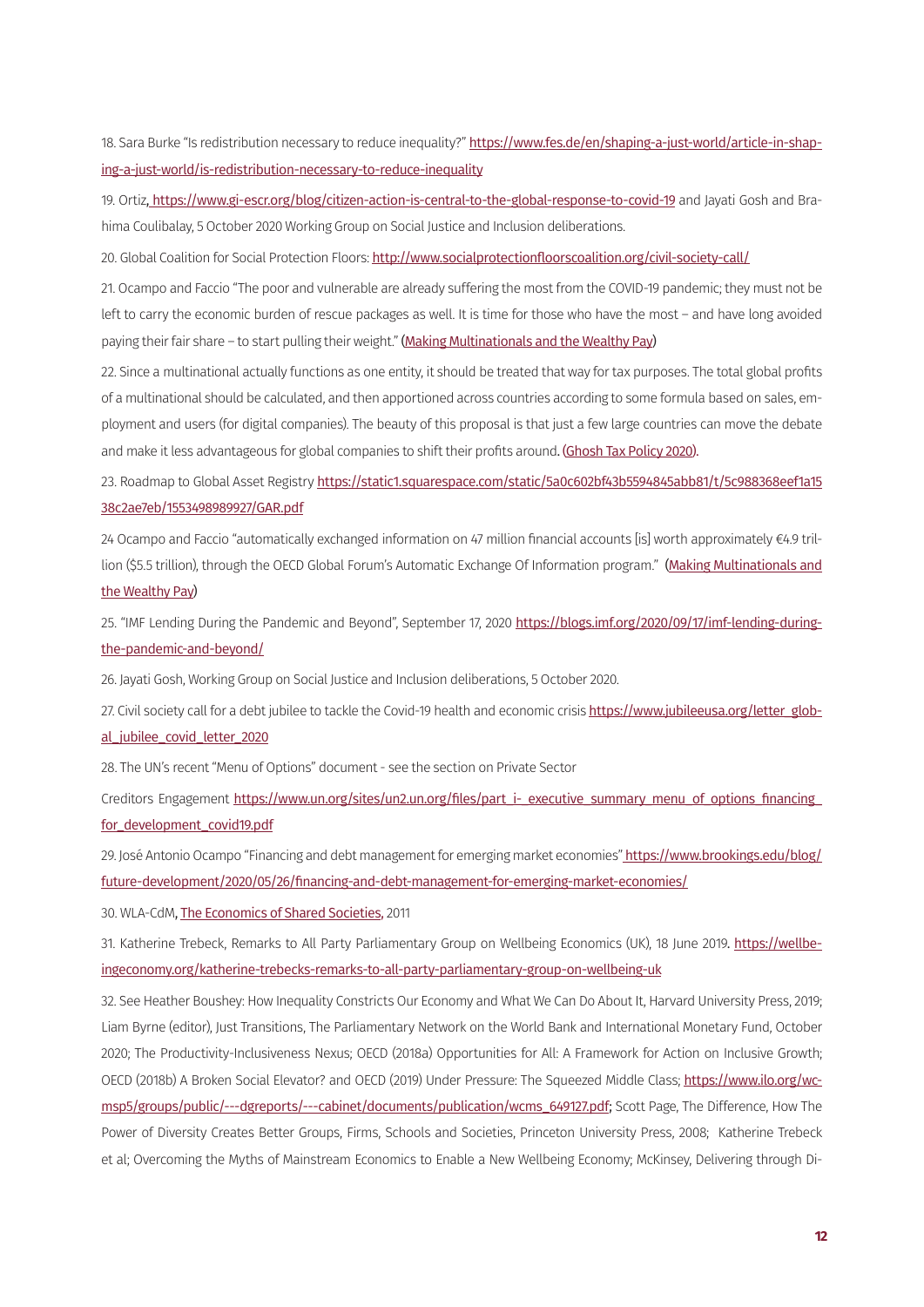<span id="page-11-0"></span>[18](#page-5-0). Sara Burke "Is redistribution necessary to reduce inequality?" [https://www.fes.de/en/shaping-a-just-world/article-in-shap](https://www.fes.de/en/shaping-a-just-world/article-in-shaping-a-just-world/is-redistribution-necessary-to-reduce-inequality)[ing-a-just-world/is-redistribution-necessary-to-reduce-inequality](https://www.fes.de/en/shaping-a-just-world/article-in-shaping-a-just-world/is-redistribution-necessary-to-reduce-inequality)

[19](#page-5-0). Ortiz, https://www.gi-escr.org/blog/citizen-action-is-central-to-the-global-response-to-covid-19 and Jayati Gosh and Brahima Coulibalay, 5 October 2020 Working Group on Social Justice and Inclusion deliberations.

[20.](#page-6-0) Global Coalition for Social Protection Floors: http://www.socialprotectionfloorscoalition.org/civil-society-call/

[21.](#page-6-0) Ocampo and Faccio "The poor and vulnerable are already suffering the most from the COVID-19 pandemic; they must not be left to carry the economic burden of rescue packages as well. It is time for those who have the most – and have long avoided paying their fair share – to start pulling their weight." [\(Making Multinationals and the Wealthy Pay](https://www.project-syndicate.org/commentary/multinationals-corporate-tax-reform-covid19-by-jose-antonio-ocampo-and-tommaso-faccio-2020-06))

[22](#page-6-0). Since a multinational actually functions as one entity, it should be treated that way for tax purposes. The total global profits of a multinational should be calculated, and then apportioned across countries according to some formula based on sales, employment and users (for digital companies). The beauty of this proposal is that just a few large countries can move the debate and make it less advantageous for global companies to shift their profits around. [\(Ghosh Tax Policy 2020\)](https://www.thehindu.com/opinion/a-tax-policy-that-could-work/article29675502.ece).

23. Roadmap to Global Asset Registry [https://static1.squarespace.com/static/5a0c602bf43b5594845abb81/t/5c988368eef1a15](https://static1.squarespace.com/static/5a0c602bf43b5594845abb81/t/5c988368eef1a1538c2ae7eb/1553498989927/GAR.pdf) [38c2ae7eb/1553498989927/GAR.pdf](https://static1.squarespace.com/static/5a0c602bf43b5594845abb81/t/5c988368eef1a1538c2ae7eb/1553498989927/GAR.pdf)

[24](#page-6-0) Ocampo and Faccio "automatically exchanged information on 47 million financial accounts [is] worth approximately €4.9 tril-lion (\$5.5 trillion), through the OECD Global Forum's Automatic Exchange Of Information program." [\(Making Multinationals and](https://www.project-syndicate.org/commentary/multinationals-corporate-tax-reform-covid19-by-jose-antonio-ocampo-and-tommaso-faccio-2020-06) [the Wealthy Pay](https://www.project-syndicate.org/commentary/multinationals-corporate-tax-reform-covid19-by-jose-antonio-ocampo-and-tommaso-faccio-2020-06))

25. "IMF Lending During the Pandemic and Beyond", September 17, 2020 [https://blogs.imf.org/2020/09/17/imf-lending-during](https://blogs.imf.org/2020/09/17/imf-lending-during-the-pandemic-and-beyond/)[the-pandemic-and-beyond/](https://blogs.imf.org/2020/09/17/imf-lending-during-the-pandemic-and-beyond/)

[26.](#page-7-0) Jayati Gosh, Working Group on Social Justice and Inclusion deliberations, 5 October 2020.

[27](#page-7-0). Civil society call for a debt jubilee to tackle the Covid-19 health and economic crisis [https://www.jubileeusa.org/letter\\_glob](https://www.jubileeusa.org/letter_global_jubilee_covid_letter_2020)al\_iubilee\_covid\_letter\_2020

[28.](#page-7-0) The UN's recent "Menu of Options" document - see the section on Private Sector

Creditors Engagement https://www.un.org/sites/un2.un.org/files/part\_i-\_executive\_summary\_menu\_of\_options\_financing for development covid19.pdf

29. José Antonio Ocampo "Financing and debt management for emerging market economies" [https://www.brookings.edu/blog/](https://www.brookings.edu/blog/future-development/2020/05/26/financing-and-debt-management-for-emerging-market-economies/) [future-development/2020/05/26/financing-and-debt-management-for-emerging-market-economies/](https://www.brookings.edu/blog/future-development/2020/05/26/financing-and-debt-management-for-emerging-market-economies/)

30. WLA-CdM, [The Economics of Shared Societies,](http://www.clubmadrid.org/wp-content/uploads/2017/10/6.-Economics-of-SSP.pdf) 2011

31. Katherine Trebeck, Remarks to All Party Parliamentary Group on Wellbeing Economics (UK), 18 June 2019. [https://wellbe](https://wellbeingeconomy.org/katherine-trebecks-remarks-to-all-party-parliamentary-group-on-wellbeing-uk)[ingeconomy.org/katherine-trebecks-remarks-to-all-party-parliamentary-group-on-wellbeing-uk](https://wellbeingeconomy.org/katherine-trebecks-remarks-to-all-party-parliamentary-group-on-wellbeing-uk)

32. See Heather Boushey: How Inequality Constricts Our Economy and What We Can Do About It, Harvard University Press, 2019; Liam Byrne (editor), Just Transitions, The Parliamentary Network on the World Bank and International Monetary Fund, October 2020; The Productivity-Inclusiveness Nexus; OECD (2018a) Opportunities for All: A Framework for Action on Inclusive Growth; OECD (2018b) A Broken Social Elevator? and OECD (2019) Under Pressure: The Squeezed Middle Class; [https://www.ilo.org/wc](https://www.ilo.org/wcmsp5/groups/public/---dgreports/---cabinet/documents/publication/wcms_649127.pdf)[msp5/groups/public/---dgreports/---cabinet/documents/publication/wcms\\_649127.pdf;](https://www.ilo.org/wcmsp5/groups/public/---dgreports/---cabinet/documents/publication/wcms_649127.pdf) Scott Page, The Difference, How The Power of Diversity Creates Better Groups, Firms, Schools and Societies, Princeton University Press, 2008; Katherine Trebeck et al; Overcoming the Myths of Mainstream Economics to Enable a New Wellbeing Economy; McKinsey, Delivering through Di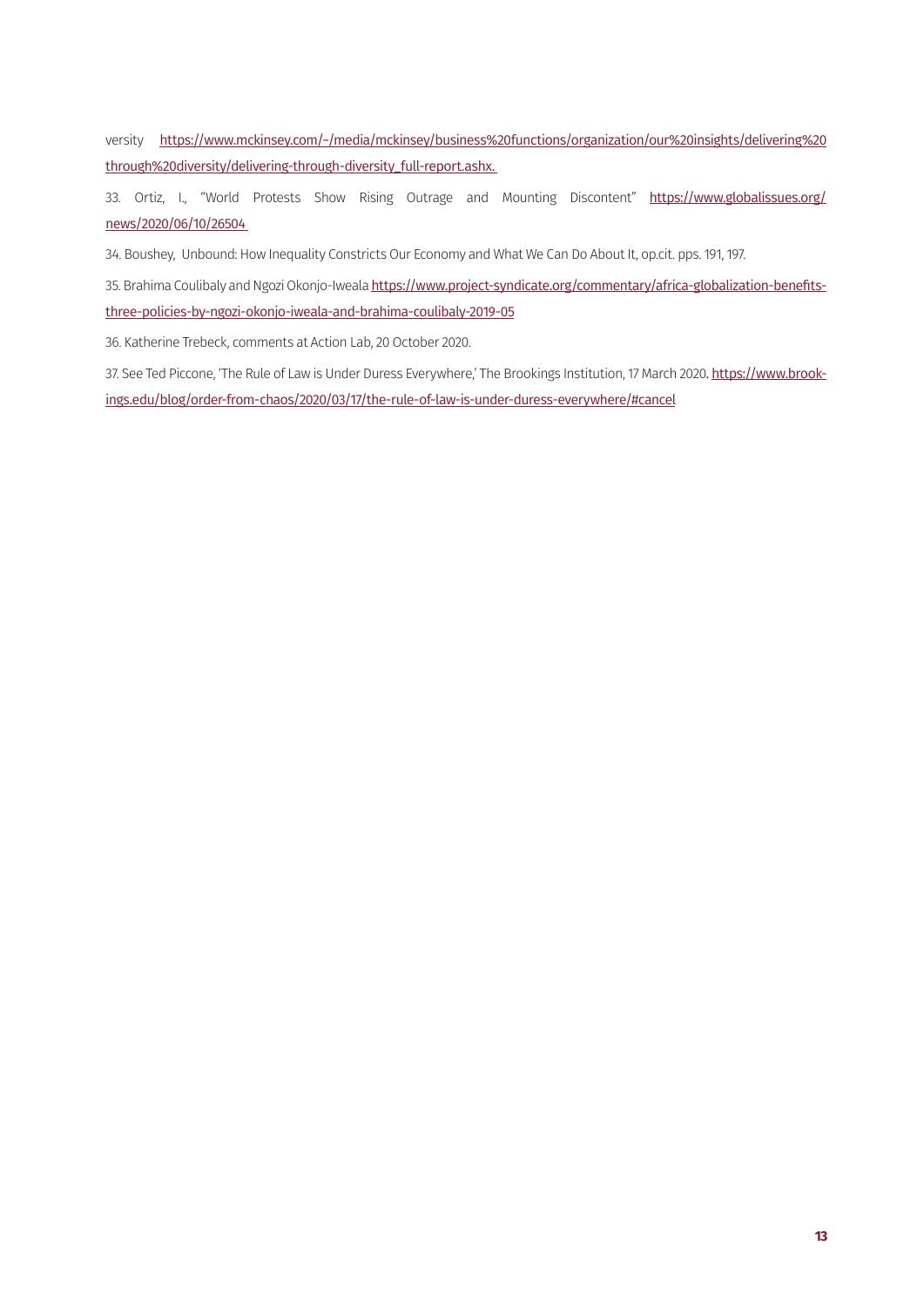<span id="page-12-0"></span>versity [https://www.mckinsey.com/~/media/mckinsey/business%20functions/organization/our%20insights/delivering%20](https://www.mckinsey.com/~/media/mckinsey/business%20functions/organization/our%20insights/delivering%20through%20diversity/delivering-through-diversity_full-report.ashx) [through%20diversity/delivering-through-diversity\\_full-report.ashx](https://www.mckinsey.com/~/media/mckinsey/business%20functions/organization/our%20insights/delivering%20through%20diversity/delivering-through-diversity_full-report.ashx).

33. Ortiz, I., "World Protests Show Rising Outrage and Mounting Discontent" [https://www.globalissues.org/](https://www.globalissues.org/news/2020/06/10/26504) [news/2020/06/10/26504](https://www.globalissues.org/news/2020/06/10/26504)

[34.](#page-8-0) Boushey, Unbound: How Inequality Constricts Our Economy and What We Can Do About It, op.cit. pps. 191, 197.

[35](#page-8-0). Brahima Coulibaly and Ngozi Okonjo-Iweala [https://www.project-syndicate.org/commentary/africa-globalization-benefits](https://www.project-syndicate.org/commentary/africa-globalization-benefits-three-policies-by-ngozi-okonjo-iweala-and-brahima-coulibaly-2019-05)[three-policies-by-ngozi-okonjo-iweala-and-brahima-coulibaly-2019-05](https://www.project-syndicate.org/commentary/africa-globalization-benefits-three-policies-by-ngozi-okonjo-iweala-and-brahima-coulibaly-2019-05)

[36.](#page-9-0) Katherine Trebeck, comments at Action Lab, 20 October 2020.

[37](#page-9-0). See Ted Piccone, 'The Rule of Law is Under Duress Everywhere,' The Brookings Institution, 17 March 2020. [https://www.brook](https://www.brookings.edu/blog/order-from-chaos/2020/03/17/the-rule-of-law-is-under-duress-everywhere/#cancel)[ings.edu/blog/order-from-chaos/2020/03/17/the-rule-of-law-is-under-duress-everywhere/#cancel](https://www.brookings.edu/blog/order-from-chaos/2020/03/17/the-rule-of-law-is-under-duress-everywhere/#cancel)